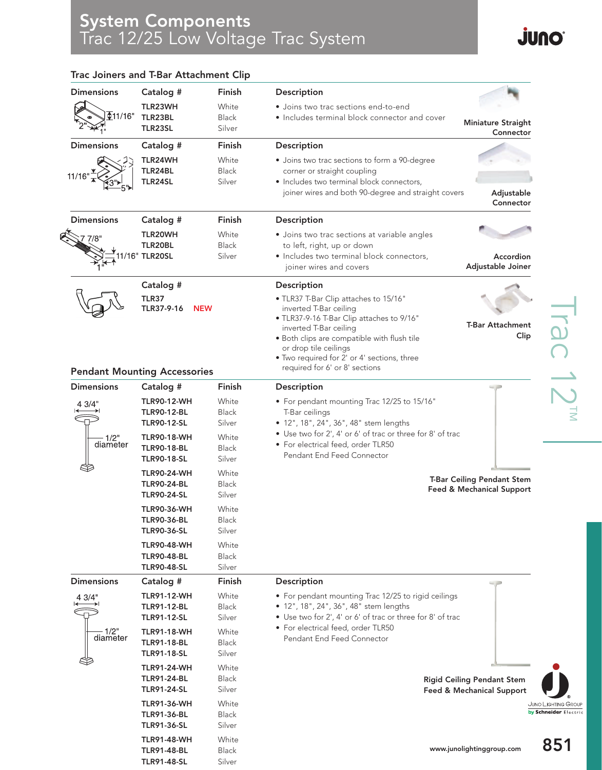## **System Components** Trac 12/25 Low Voltage Trac System

**TLR91-48-BL** Black **TLR91-48-SL** Silver

#### **Trac Joiners and T-Bar Attachment Clip Dimensions Catalog # Finish Description TLR23WH** White **•** Joins two trac sections end-to-end \$ั11/16" **TLR23BL** Black **•** Includes terminal block connector and cover **TLR23SL** Silver **Miniature Straight** Miniature Straight Miniature Straight **Miniature Straight Connector Dimensions Catalog # Finish Description TLR24WH** White **•** Joins two trac sections to form a 90-degree **TLR24BL** Black corner or straight coupling 11 TLR24SL Silver • Includes two terminal block connectors, joiner wires and both 90-degree and straight covers **Adjustable Connector Dimensions Catalog # Finish Description TLR20WH** White **•** Joins two trac sections at variable angles  $7/8'$ **TLR20BL** Black to left, right, up or down 16" **TLR20SL** Silver • Includes two terminal block connectors, **Accordion Adjustable Joiner** joiner wires and covers **Catalog # Description TLR37** • TLR37 T-Bar Clip attaches to 15/16" **TLR37-9-16 NEW** inverted T-Bar ceiling • TLR37-9-16 T-Bar Clip attaches to 9/16" **T-Bar Attachment**  inverted T-Bar ceiling **Clip** • Both clips are compatible with flush tile or drop tile ceilings • Two required for 2' or 4' sections, three required for 6' or 8' sections **Pendant Mounting Accessories Dimensions Catalog # Finish Description TLR90-12-WH** White • For pendant mounting Trac 12/25 to 15/16" 4 3/4 **TLR90-12-BL** Black T-Bar ceilings **TLR90-12-SL** Silver • 12", 18", 24", 36", 48" stem lengths • Use two for 2', 4' or 6' of trac or three for 8' of trac -1/2"<br>diameter **TLR90-18-WH** White • For electrical feed, order TLR50 **TLR90-18-BL** Black Pendant End Feed Connector **TLR90-18-SL** Silver **TLR90-24-WH** White **T-Bar Ceiling Pendant Stem TLR90-24-BL** Black **Feed & Mechanical Support TLR90-24-SL** Silver **TLR90-36-WH** White **TLR90-36-BL** Black **TLR90-36-SL** Silver **TLR90-48-WH** White **TLR90-48-BL** Black **TLR90-48-SL** Silver **Dimensions Catalog # Finish Description TLR91-12-WH** White • For pendant mounting Trac 12/25 to rigid ceilings 4 3/4 • 12", 18", 24", 36", 48" stem lengths **TLR91-12-BL** Black **TLR91-12-SL** Silver • Use two for 2', 4' or 6' of trac or three for 8' of trac -- 1/2"<br>diameter • For electrical feed, order TLR50 **TLR91-18-WH** White Pendant End Feed Connector **TLR91-18-BL** Black **TLR91-18-SL** Silver **TLR91-24-WH** White **TLR91-24-BL** Black **Rigid Ceiling Pendant Stem TLR91-24-SL** Silver **Feed & Mechanical Support** JUNO LIGHTING GROUP **TLR91-36-WH** White by Schneider Electric **TLR91-36-BL** Black **TLR91-36-SL** Silver **TLR91-48-WH** White **www.junolightinggroup.com 851**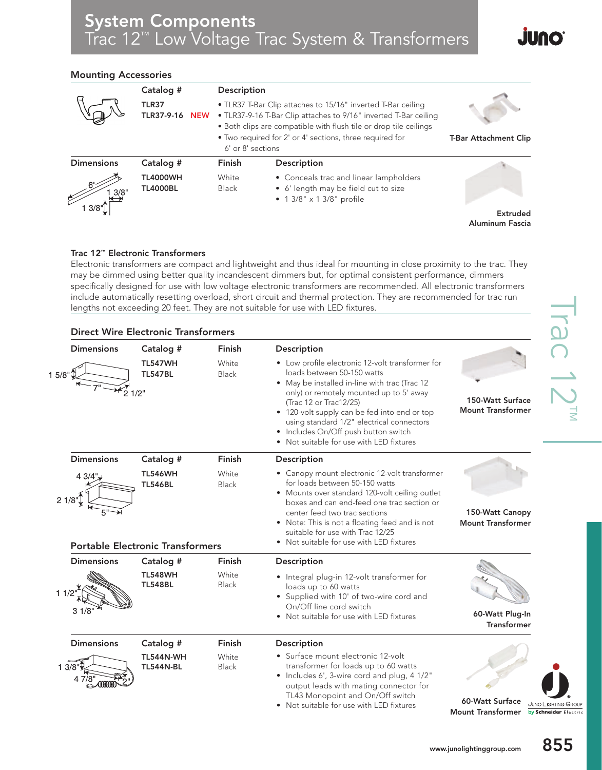# **System Components** Trac 12™ Low Voltage Trac System & Transformers

#### **Mounting Accessories**

|                   | Catalog #                          | Description                     |                                                                                                                                                                                                                                                                   | <b>T-Bar Attachment Clip</b> |  |
|-------------------|------------------------------------|---------------------------------|-------------------------------------------------------------------------------------------------------------------------------------------------------------------------------------------------------------------------------------------------------------------|------------------------------|--|
|                   | TLR37<br><b>TLR37-9-16 NEW</b>     |                                 | • TLR37 T-Bar Clip attaches to 15/16" inverted T-Bar ceiling<br>• TLR37-9-16 T-Bar Clip attaches to 9/16" inverted T-Bar ceiling<br>• Both clips are compatible with flush tile or drop tile ceilings<br>• Two required for 2' or 4' sections, three required for |                              |  |
| <b>Dimensions</b> | Catalog #                          | $6'$ or $8'$ sections<br>Finish | Description                                                                                                                                                                                                                                                       |                              |  |
| 3/8"              | <b>TL4000WH</b><br><b>TL4000BL</b> | White<br><b>Black</b>           | • Conceals trac and linear lampholders<br>• 6' length may be field cut to size<br>• 1 3/8" x 1 3/8" profile                                                                                                                                                       |                              |  |
|                   |                                    |                                 |                                                                                                                                                                                                                                                                   | Extruded<br>Aluminum Fascia  |  |

### **Trac 12™ Electronic Transformers**

Electronic transformers are compact and lightweight and thus ideal for mounting in close proximity to the trac. They may be dimmed using better quality incandescent dimmers but, for optimal consistent performance, dimmers specifically designed for use with low voltage electronic transformers are recommended. All electronic transformers include automatically resetting overload, short circuit and thermal protection. They are recommended for trac run lengths not exceeding 20 feet. They are not suitable for use with LED fixtures.

| <b>Dimensions</b>             | Catalog #                                                                   | Finish                | Description                                                                                                                                                                                                                                                                                                                                                                           |                                              |
|-------------------------------|-----------------------------------------------------------------------------|-----------------------|---------------------------------------------------------------------------------------------------------------------------------------------------------------------------------------------------------------------------------------------------------------------------------------------------------------------------------------------------------------------------------------|----------------------------------------------|
| 1 5/8" $\frac{4}{3}$          | <b>TL547WH</b><br><b>TL547BL</b><br>$2^{\circ}$ 1/2"                        | White<br><b>Black</b> | • Low profile electronic 12-volt transformer for<br>loads between 50-150 watts<br>• May be installed in-line with trac (Trac 12<br>only) or remotely mounted up to 5' away<br>(Trac 12 or Trac12/25)<br>• 120-volt supply can be fed into end or top<br>using standard 1/2" electrical connectors<br>• Includes On/Off push button switch<br>• Not suitable for use with LED fixtures | 150-Watt Surface<br><b>Mount Transformer</b> |
| <b>Dimensions</b>             | Catalog #                                                                   | Finish                | Description                                                                                                                                                                                                                                                                                                                                                                           |                                              |
| 4 3/4<br>2 $1/8$ " $\sqrt{ }$ | <b>TL546WH</b><br><b>TL546BL</b><br><b>Portable Electronic Transformers</b> | White<br><b>Black</b> | • Canopy mount electronic 12-volt transformer<br>for loads between 50-150 watts<br>• Mounts over standard 120-volt ceiling outlet<br>boxes and can end-feed one trac section or<br>center feed two trac sections<br>• Note: This is not a floating feed and is not<br>suitable for use with Trac 12/25<br>• Not suitable for use with LED fixtures                                    | 150-Watt Canopy<br><b>Mount Transformer</b>  |
| <b>Dimensions</b>             | Catalog #                                                                   | Finish                | Description                                                                                                                                                                                                                                                                                                                                                                           |                                              |
| 11/2<br>31/8'                 | <b>TL548WH</b><br><b>TL548BL</b>                                            | White<br><b>Black</b> | • Integral plug-in 12-volt transformer for<br>loads up to 60 watts<br>• Supplied with 10' of two-wire cord and<br>On/Off line cord switch<br>• Not suitable for use with LED fixtures                                                                                                                                                                                                 | 60-Watt Plug-In<br><b>Transformer</b>        |
| <b>Dimensions</b>             | Catalog #                                                                   | Finish                | <b>Description</b>                                                                                                                                                                                                                                                                                                                                                                    |                                              |
| $13/8$ $\sqrt{2}$<br>47       | <b>TL544N-WH</b><br><b>TL544N-BL</b>                                        | White<br>Black        | • Surface mount electronic 12-volt<br>transformer for loads up to 60 watts<br>• Includes 6', 3-wire cord and plug, 4 1/2"<br>output leads with mating connector for<br>TL43 Monopoint and On/Off switch                                                                                                                                                                               |                                              |



| 60-Watt Surface          |
|--------------------------|
| <b>Mount Transformer</b> |

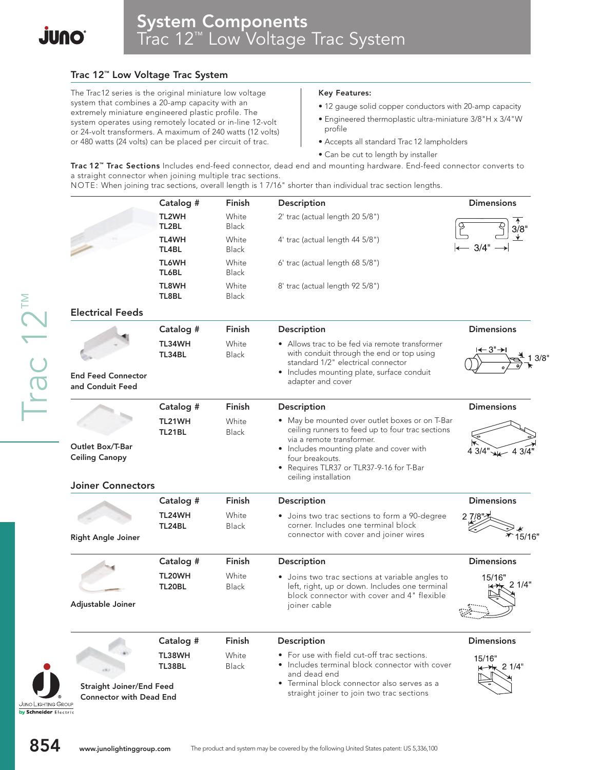## **Trac 12™ Low Voltage Trac System**

The Trac12 series is the original miniature low voltage system that combines a 20-amp capacity with an extremely miniature engineered plastic profile. The system operates using remotely located or in-line 12-volt or 24-volt transformers. A maximum of 240 watts (12 volts) or 480 watts (24 volts) can be placed per circuit of trac.

#### **Key Features:**

- 12 gauge solid copper conductors with 20-amp capacity
- Engineered thermoplastic ultra-miniature 3/8"H x 3/4"W profile
- Accepts all standard Trac 12 lampholders
- Can be cut to length by installer

**Trac 12™ Trac Sections** Includes end-feed connector, dead end and mounting hardware. End-feed connector converts to a straight connector when joining multiple trac sections.

NOTE: When joining trac sections, overall length is 1 7/16" shorter than individual trac section lengths.

|                                                                                                 | Catalog #               | <b>Finish</b>         | Description                                                                                                                                                                                                                                | <b>Dimensions</b>                          |
|-------------------------------------------------------------------------------------------------|-------------------------|-----------------------|--------------------------------------------------------------------------------------------------------------------------------------------------------------------------------------------------------------------------------------------|--------------------------------------------|
|                                                                                                 | TL2WH<br>TL2BL          | White<br><b>Black</b> | 2' trac (actual length 20 5/8")                                                                                                                                                                                                            | 3/8"                                       |
|                                                                                                 | <b>TL4WH</b><br>TL4BL   | White<br><b>Black</b> | 4' trac (actual length 44 5/8")                                                                                                                                                                                                            | $-3/4"$                                    |
|                                                                                                 | <b>TL6WH</b><br>TL6BL   | White<br><b>Black</b> | 6' trac (actual length 68 5/8")                                                                                                                                                                                                            |                                            |
|                                                                                                 | <b>TL8WH</b><br>TL8BL   | White<br><b>Black</b> | 8' trac (actual length 92 5/8")                                                                                                                                                                                                            |                                            |
| <b>Electrical Feeds</b>                                                                         |                         |                       |                                                                                                                                                                                                                                            |                                            |
|                                                                                                 | Catalog #               | Finish                | Description                                                                                                                                                                                                                                | <b>Dimensions</b>                          |
|                                                                                                 | TL34WH<br>TL34BL        | White<br><b>Black</b> | • Allows trac to be fed via remote transformer<br>with conduit through the end or top using<br>standard 1/2" electrical connector<br>• Includes mounting plate, surface conduit                                                            | ←3"→                                       |
| <b>End Feed Connector</b><br>and Conduit Feed                                                   |                         |                       | adapter and cover                                                                                                                                                                                                                          |                                            |
|                                                                                                 | Catalog #               | <b>Finish</b>         | <b>Description</b>                                                                                                                                                                                                                         | <b>Dimensions</b>                          |
| Outlet Box/T-Bar<br><b>Ceiling Canopy</b>                                                       | TL21WH<br><b>TL21BL</b> | White<br><b>Black</b> | • May be mounted over outlet boxes or on T-Bar<br>ceiling runners to feed up to four trac sections<br>via a remote transformer.<br>• Includes mounting plate and cover with<br>four breakouts.<br>• Requires TLR37 or TLR37-9-16 for T-Bar | $43/4$ " $\overline{\phantom{1}}$ $43/4$ " |
| <b>Joiner Connectors</b>                                                                        |                         |                       | ceiling installation                                                                                                                                                                                                                       |                                            |
|                                                                                                 | Catalog #               | Finish                | Description                                                                                                                                                                                                                                | <b>Dimensions</b>                          |
| <b>Right Angle Joiner</b>                                                                       | TL24WH<br>TL24BL        | White<br><b>Black</b> | • Joins two trac sections to form a 90-degree<br>corner. Includes one terminal block<br>connector with cover and joiner wires                                                                                                              | 27/8<br>₹15/16"                            |
|                                                                                                 | Catalog #               | Finish                | Description                                                                                                                                                                                                                                | <b>Dimensions</b>                          |
| Adjustable Joiner                                                                               | TL20WH<br>TL20BL        | White<br><b>Black</b> | • Joins two trac sections at variable angles to<br>left, right, up or down. Includes one terminal<br>block connector with cover and 4" flexible<br>joiner cable                                                                            | 15/16"<br>$\leftrightarrow \times 21/4$ "  |
|                                                                                                 | Catalog #               | Finish                | Description                                                                                                                                                                                                                                | <b>Dimensions</b>                          |
| <b>Straight Joiner/End Feed</b><br><b>Connector with Dead End</b><br><b>JUNO LIGHTING GROUP</b> | TL38WH<br><b>TL38BL</b> | White<br><b>Black</b> | • For use with field cut-off trac sections.<br>• Includes terminal block connector with cover<br>and dead end<br>• Terminal block connector also serves as a<br>straight joiner to join two trac sections                                  | 15/16"<br>$\leftrightarrow$ 2 1/4"         |